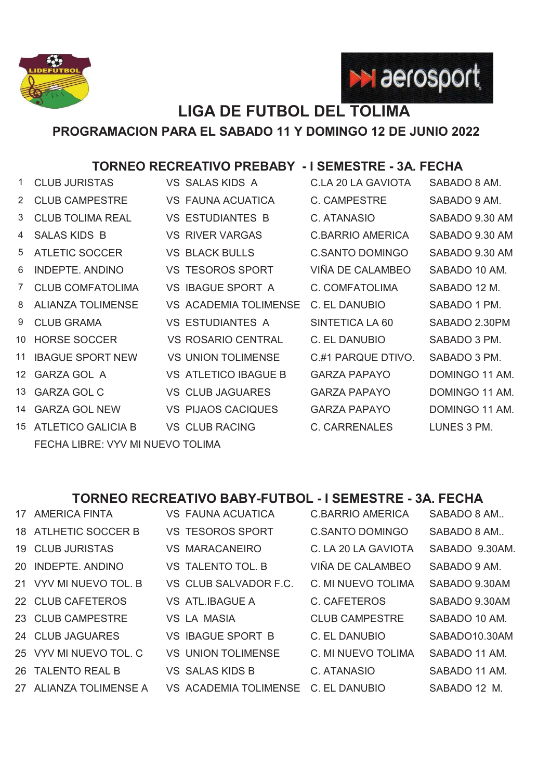



## **LIGA DE FUTBOL DEL TOLIMA**

**PROGRAMACION PARA EL SABADO 11 Y DOMINGO 12 DE JUNIO 2022**

## **TORNEO RECREATIVO PREBABY - I SEMESTRE - 3A. FECHA**

| 1. | <b>CLUB JURISTAS</b>             |  | <b>VS SALAS KIDS A</b>       | C.LA 20 LA GAVIOTA     | SABADO 8 AM.   |  |  |
|----|----------------------------------|--|------------------------------|------------------------|----------------|--|--|
| 2  | <b>CLUB CAMPESTRE</b>            |  | VS FAUNA ACUATICA            | C. CAMPESTRE           | SABADO 9 AM.   |  |  |
| 3  | <b>CLUB TOLIMA REAL</b>          |  | <b>VS ESTUDIANTES B</b>      | C. ATANASIO            | SABADO 9.30 AM |  |  |
| 4  | <b>SALAS KIDS B</b>              |  | <b>VS RIVER VARGAS</b>       | C.BARRIO AMERICA       | SABADO 9.30 AM |  |  |
| 5  | <b>ATLETIC SOCCER</b>            |  | <b>VS BLACK BULLS</b>        | <b>C.SANTO DOMINGO</b> | SABADO 9.30 AM |  |  |
| 6  | INDEPTE, ANDINO                  |  | <b>VS TESOROS SPORT</b>      | VIÑA DE CALAMBEO       | SABADO 10 AM.  |  |  |
| 7  | <b>CLUB COMFATOLIMA</b>          |  | <b>VS IBAGUE SPORT A</b>     | C. COMFATOLIMA         | SABADO 12 M.   |  |  |
| 8  | <b>ALIANZA TOLIMENSE</b>         |  | <b>VS ACADEMIA TOLIMENSE</b> | C. EL DANUBIO          | SABADO 1 PM.   |  |  |
| 9  | <b>CLUB GRAMA</b>                |  | <b>VS ESTUDIANTES A</b>      | SINTETICA LA 60        | SABADO 2.30PM  |  |  |
| 10 | <b>HORSE SOCCER</b>              |  | VS ROSARIO CENTRAL           | C. EL DANUBIO          | SABADO 3 PM.   |  |  |
| 11 | <b>IBAGUE SPORT NEW</b>          |  | <b>VS UNION TOLIMENSE</b>    | C.#1 PARQUE DTIVO.     | SABADO 3 PM.   |  |  |
| 12 | <b>GARZA GOL A</b>               |  | <b>VS ATLETICO IBAGUE B</b>  | <b>GARZA PAPAYO</b>    | DOMINGO 11 AM. |  |  |
| 13 | <b>GARZA GOL C</b>               |  | VS CLUB JAGUARES             | <b>GARZA PAPAYO</b>    | DOMINGO 11 AM. |  |  |
| 14 | <b>GARZA GOL NEW</b>             |  | <b>VS PIJAOS CACIQUES</b>    | <b>GARZA PAPAYO</b>    | DOMINGO 11 AM. |  |  |
| 15 | ATLETICO GALICIA B               |  | <b>VS CLUB RACING</b>        | <b>C. CARRENALES</b>   | LUNES 3 PM.    |  |  |
|    | FECHA LIBRE: VYV MI NUEVO TOLIMA |  |                              |                        |                |  |  |

## **TORNEO RECREATIVO BABY-FUTBOL - I SEMESTRE - 3A. FECHA**

| 17 AMERICA FINTA        | <b>VS FAUNA ACUATICA</b>     | <b>C.BARRIO AMERICA</b> | SABADO 8 AM    |
|-------------------------|------------------------------|-------------------------|----------------|
| 18 ATLHETIC SOCCER B    | <b>VS TESOROS SPORT</b>      | <b>C.SANTO DOMINGO</b>  | SABADO 8 AM    |
| <b>19 CLUB JURISTAS</b> | <b>VS MARACANEIRO</b>        | C. LA 20 LA GAVIOTA     | SABADO 9.30AM. |
| 20 INDEPTE ANDINO       | VS TALENTO TOL. B            | VIÑA DE CALAMBEO        | SABADO 9 AM.   |
| 21 VYV MI NUEVO TOL. B  | VS CLUB SALVADOR F.C.        | C. MI NUEVO TOLIMA      | SABADO 9.30AM  |
| 22 CLUB CAFETEROS       | <b>VS ATL.IBAGUE A</b>       | C. CAFETEROS            | SABADO 9.30AM  |
| 23 CLUB CAMPESTRE       | VS LA MASIA                  | <b>CLUB CAMPESTRE</b>   | SABADO 10 AM.  |
| 24 CLUB JAGUARES        | <b>VS IBAGUE SPORT B</b>     | C. EL DANUBIO           | SABADO10.30AM  |
| 25 VYV MI NUEVO TOL, C  | <b>VS UNION TOLIMENSE</b>    | C. MI NUEVO TOLIMA      | SABADO 11 AM.  |
| 26 TALENTO REAL B       | <b>VS SALAS KIDS B</b>       | C. ATANASIO             | SABADO 11 AM.  |
| 27 ALIANZA TOLIMENSE A  | <b>VS ACADEMIA TOLIMENSE</b> | C. EL DANUBIO           | SABADO 12 M.   |
|                         |                              |                         |                |